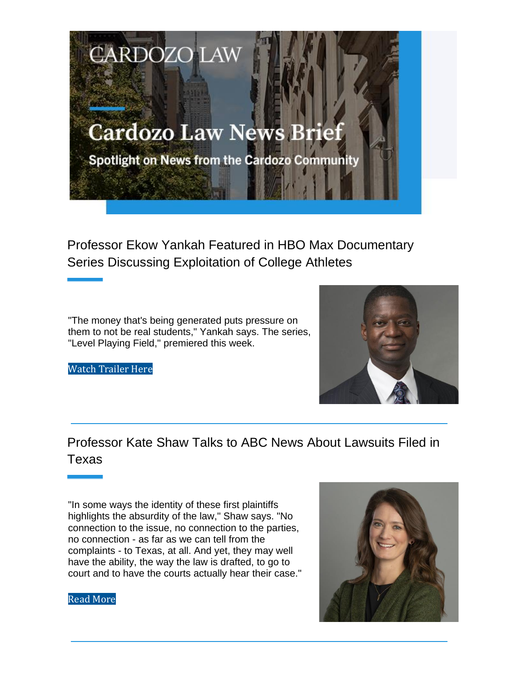

Professor Ekow Yankah Featured in HBO Max Documentary Series Discussing Exploitation of College Athletes

"The money that's being generated puts pressure on them to not be real students," Yankah says. The series, "Level Playing Field," premiered this week.

Watch Trailer Here



Professor Kate Shaw Talks to ABC News About Lawsuits Filed in Texas

"In some ways the identity of these first plaintiffs highlights the absurdity of the law," Shaw says. "No connection to the issue, no connection to the parties, no connection - as far as we can tell from the complaints - to Texas, at all. And yet, they may well have the ability, the way the law is drafted, to go to court and to have the courts actually hear their case."



### Read More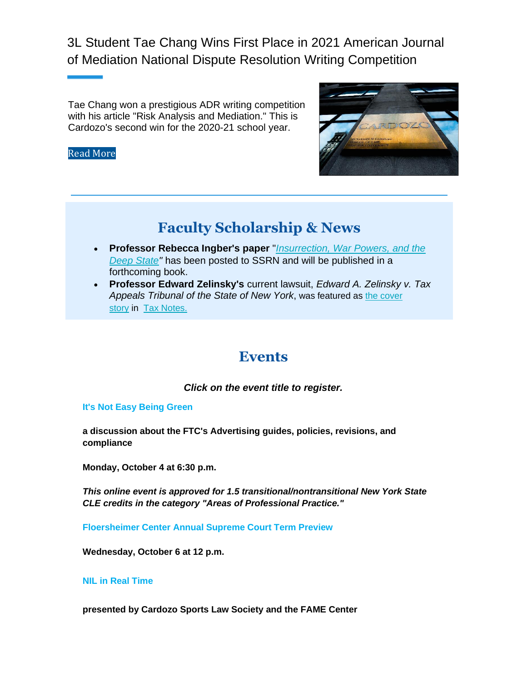3L Student Tae Chang Wins First Place in 2021 American Journal of Mediation National Dispute Resolution Writing Competition

Tae Chang won a prestigious ADR writing competition with his article "Risk Analysis and Mediation." This is Cardozo's second win for the 2020-21 school year.

### Read More



# **Faculty Scholarship & News**

- **Professor Rebecca Ingber's paper** "*Insurrection, War Powers, and the Deep State"* has been posted to SSRN and will be published in a forthcoming book.
- **Professor Edward Zelinsky's** current lawsuit, *Edward A. Zelinsky v. Tax Appeals Tribunal of the State of New York*, was featured as the cover story in Tax Notes.

## **Events**

*Click on the event title to register.*

### **It's Not Easy Being Green**

**a discussion about the FTC's Advertising guides, policies, revisions, and compliance**

**Monday, October 4 at 6:30 p.m.**

*This online event is approved for 1.5 transitional/nontransitional New York State CLE credits in the category "Areas of Professional Practice."*

**Floersheimer Center Annual Supreme Court Term Preview**

**Wednesday, October 6 at 12 p.m.**

### **NIL in Real Time**

**presented by Cardozo Sports Law Society and the FAME Center**